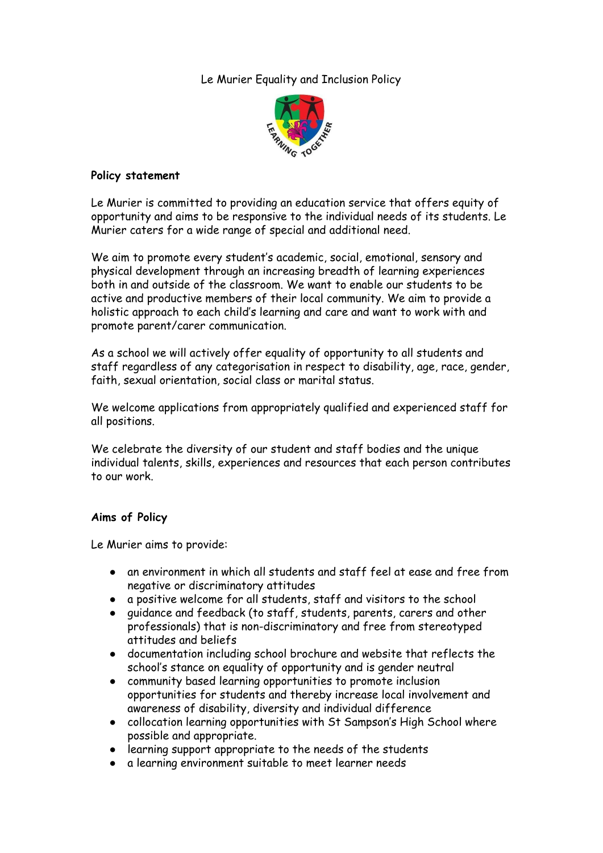Le Murier Equality and Inclusion Policy



## **Policy statement**

Le Murier is committed to providing an education service that offers equity of opportunity and aims to be responsive to the individual needs of its students. Le Murier caters for a wide range of special and additional need.

We aim to promote every student's academic, social, emotional, sensory and physical development through an increasing breadth of learning experiences both in and outside of the classroom. We want to enable our students to be active and productive members of their local community. We aim to provide a holistic approach to each child's learning and care and want to work with and promote parent/carer communication.

As a school we will actively offer equality of opportunity to all students and staff regardless of any categorisation in respect to disability, age, race, gender, faith, sexual orientation, social class or marital status.

We welcome applications from appropriately qualified and experienced staff for all positions.

We celebrate the diversity of our student and staff bodies and the unique individual talents, skills, experiences and resources that each person contributes to our work.

## **Aims of Policy**

Le Murier aims to provide:

- an environment in which all students and staff feel at ease and free from negative or discriminatory attitudes
- a positive welcome for all students, staff and visitors to the school
- guidance and feedback (to staff, students, parents, carers and other professionals) that is non-discriminatory and free from stereotyped attitudes and beliefs
- documentation including school brochure and website that reflects the school's stance on equality of opportunity and is gender neutral
- community based learning opportunities to promote inclusion opportunities for students and thereby increase local involvement and awareness of disability, diversity and individual difference
- collocation learning opportunities with St Sampson's High School where possible and appropriate.
- **Progentify** earning support appropriate to the needs of the students
- a learning environment suitable to meet learner needs